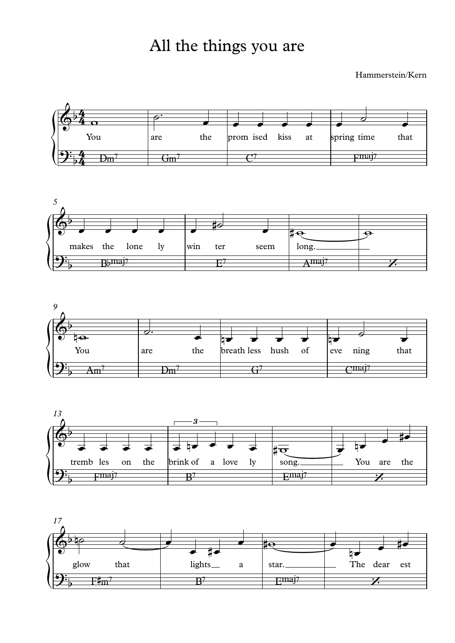## All the things you are

Hammerstein/Kern